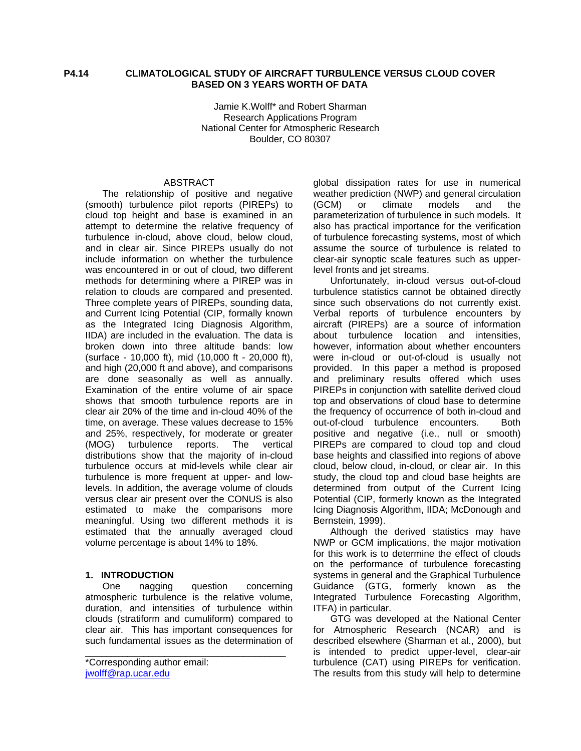Jamie K.Wolff\* and Robert Sharman Research Applications Program National Center for Atmospheric Research Boulder, CO 80307

#### ABSTRACT

The relationship of positive and negative (smooth) turbulence pilot reports (PIREPs) to cloud top height and base is examined in an attempt to determine the relative frequency of turbulence in-cloud, above cloud, below cloud, and in clear air. Since PIREPs usually do not include information on whether the turbulence was encountered in or out of cloud, two different methods for determining where a PIREP was in relation to clouds are compared and presented. Three complete years of PIREPs, sounding data, and Current Icing Potential (CIP, formally known as the Integrated Icing Diagnosis Algorithm, IIDA) are included in the evaluation. The data is broken down into three altitude bands: low (surface - 10,000 ft), mid (10,000 ft - 20,000 ft), and high (20,000 ft and above), and comparisons are done seasonally as well as annually. Examination of the entire volume of air space shows that smooth turbulence reports are in clear air 20% of the time and in-cloud 40% of the time, on average. These values decrease to 15% and 25%, respectively, for moderate or greater (MOG) turbulence reports. The vertical distributions show that the majority of in-cloud turbulence occurs at mid-levels while clear air turbulence is more frequent at upper- and lowlevels. In addition, the average volume of clouds versus clear air present over the CONUS is also estimated to make the comparisons more meaningful. Using two different methods it is estimated that the annually averaged cloud volume percentage is about 14% to 18%.

#### **1. INTRODUCTION**

 One nagging question concerning atmospheric turbulence is the relative volume, duration, and intensities of turbulence within clouds (stratiform and cumuliform) compared to clear air. This has important consequences for such fundamental issues as the determination of

\_\_\_\_\_\_\_\_\_\_\_\_\_\_\_\_\_\_\_\_\_\_\_\_\_\_\_\_\_\_\_\_\_\_\_\_\_\_

global dissipation rates for use in numerical weather prediction (NWP) and general circulation (GCM) or climate models and the parameterization of turbulence in such models. It also has practical importance for the verification of turbulence forecasting systems, most of which assume the source of turbulence is related to clear-air synoptic scale features such as upperlevel fronts and jet streams.

Unfortunately, in-cloud versus out-of-cloud turbulence statistics cannot be obtained directly since such observations do not currently exist. Verbal reports of turbulence encounters by aircraft (PIREPs) are a source of information about turbulence location and intensities, however, information about whether encounters were in-cloud or out-of-cloud is usually not provided. In this paper a method is proposed and preliminary results offered which uses PIREPs in conjunction with satellite derived cloud top and observations of cloud base to determine the frequency of occurrence of both in-cloud and out-of-cloud turbulence encounters. Both positive and negative (i.e., null or smooth) PIREPs are compared to cloud top and cloud base heights and classified into regions of above cloud, below cloud, in-cloud, or clear air. In this study, the cloud top and cloud base heights are determined from output of the Current Icing Potential (CIP, formerly known as the Integrated Icing Diagnosis Algorithm, IIDA; McDonough and Bernstein, 1999).

 Although the derived statistics may have NWP or GCM implications, the major motivation for this work is to determine the effect of clouds on the performance of turbulence forecasting systems in general and the Graphical Turbulence Guidance (GTG, formerly known as the Integrated Turbulence Forecasting Algorithm, ITFA) in particular.

GTG was developed at the National Center for Atmospheric Research (NCAR) and is described elsewhere (Sharman et al., 2000), but is intended to predict upper-level, clear-air turbulence (CAT) using PIREPs for verification. The results from this study will help to determine

<sup>\*</sup>Corresponding author email: [jwolff@rap.ucar.edu](mailto:jwolff@rap.ucar.edu)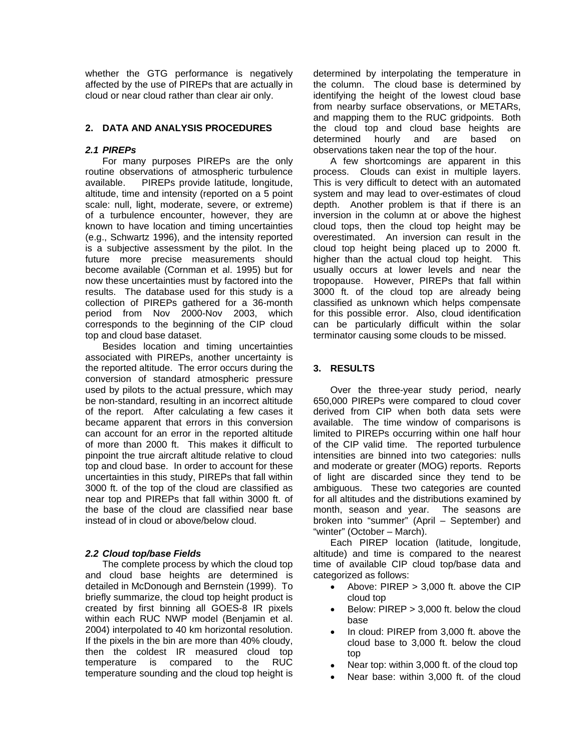whether the GTG performance is negatively affected by the use of PIREPs that are actually in cloud or near cloud rather than clear air only.

### **2. DATA AND ANALYSIS PROCEDURES**

### *2.1 PIREPs*

For many purposes PIREPs are the only routine observations of atmospheric turbulence available. PIREPs provide latitude, longitude, altitude, time and intensity (reported on a 5 point scale: null, light, moderate, severe, or extreme) of a turbulence encounter, however, they are known to have location and timing uncertainties (e.g., Schwartz 1996), and the intensity reported is a subjective assessment by the pilot. In the future more precise measurements should become available (Cornman et al. 1995) but for now these uncertainties must by factored into the results. The database used for this study is a collection of PIREPs gathered for a 36-month period from Nov 2000-Nov 2003, which corresponds to the beginning of the CIP cloud top and cloud base dataset.

Besides location and timing uncertainties associated with PIREPs, another uncertainty is the reported altitude. The error occurs during the conversion of standard atmospheric pressure used by pilots to the actual pressure, which may be non-standard, resulting in an incorrect altitude of the report. After calculating a few cases it became apparent that errors in this conversion can account for an error in the reported altitude of more than 2000 ft. This makes it difficult to pinpoint the true aircraft altitude relative to cloud top and cloud base. In order to account for these uncertainties in this study, PIREPs that fall within 3000 ft. of the top of the cloud are classified as near top and PIREPs that fall within 3000 ft. of the base of the cloud are classified near base instead of in cloud or above/below cloud.

# *2.2 Cloud top/base Fields*

The complete process by which the cloud top and cloud base heights are determined is detailed in McDonough and Bernstein (1999). To briefly summarize, the cloud top height product is created by first binning all GOES-8 IR pixels within each RUC NWP model (Benjamin et al. 2004) interpolated to 40 km horizontal resolution. If the pixels in the bin are more than 40% cloudy, then the coldest IR measured cloud top temperature is compared to the RUC temperature sounding and the cloud top height is

determined by interpolating the temperature in the column. The cloud base is determined by identifying the height of the lowest cloud base from nearby surface observations, or METARs, and mapping them to the RUC gridpoints. Both the cloud top and cloud base heights are determined hourly and are based on observations taken near the top of the hour.

A few shortcomings are apparent in this process. Clouds can exist in multiple layers. This is very difficult to detect with an automated system and may lead to over-estimates of cloud depth. Another problem is that if there is an inversion in the column at or above the highest cloud tops, then the cloud top height may be overestimated. An inversion can result in the cloud top height being placed up to 2000 ft. higher than the actual cloud top height. This usually occurs at lower levels and near the tropopause. However, PIREPs that fall within 3000 ft. of the cloud top are already being classified as unknown which helps compensate for this possible error. Also, cloud identification can be particularly difficult within the solar terminator causing some clouds to be missed.

### **3. RESULTS**

Over the three-year study period, nearly 650,000 PIREPs were compared to cloud cover derived from CIP when both data sets were available. The time window of comparisons is limited to PIREPs occurring within one half hour of the CIP valid time. The reported turbulence intensities are binned into two categories: nulls and moderate or greater (MOG) reports. Reports of light are discarded since they tend to be ambiguous. These two categories are counted for all altitudes and the distributions examined by month, season and year. The seasons are broken into "summer" (April – September) and "winter" (October – March).

Each PIREP location (latitude, longitude, altitude) and time is compared to the nearest time of available CIP cloud top/base data and categorized as follows:

- Above: PIREP > 3,000 ft. above the CIP cloud top
- Below: PIREP > 3,000 ft. below the cloud base
- In cloud: PIREP from 3,000 ft. above the cloud base to 3,000 ft. below the cloud top
- Near top: within 3,000 ft. of the cloud top
- Near base: within 3,000 ft. of the cloud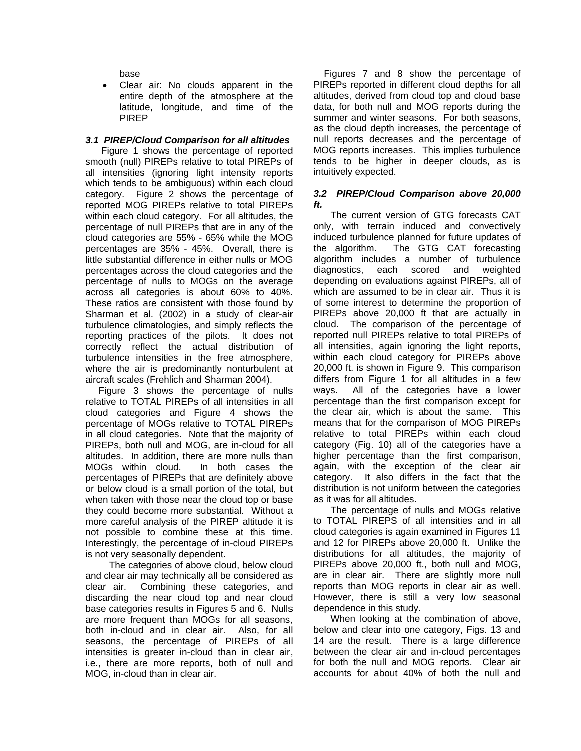base

• Clear air: No clouds apparent in the entire depth of the atmosphere at the latitude, longitude, and time of the PIREP

### *3.1 PIREP/Cloud Comparison for all altitudes*

 Figure 1 shows the percentage of reported smooth (null) PIREPs relative to total PIREPs of all intensities (ignoring light intensity reports which tends to be ambiguous) within each cloud category. Figure 2 shows the percentage of reported MOG PIREPs relative to total PIREPs within each cloud category. For all altitudes, the percentage of null PIREPs that are in any of the cloud categories are 55% - 65% while the MOG percentages are 35% - 45%. Overall, there is little substantial difference in either nulls or MOG percentages across the cloud categories and the percentage of nulls to MOGs on the average across all categories is about 60% to 40%. These ratios are consistent with those found by Sharman et al. (2002) in a study of clear-air turbulence climatologies, and simply reflects the reporting practices of the pilots. It does not correctly reflect the actual distribution of turbulence intensities in the free atmosphere, where the air is predominantly nonturbulent at aircraft scales (Frehlich and Sharman 2004).

 Figure 3 shows the percentage of nulls relative to TOTAL PIREPs of all intensities in all cloud categories and Figure 4 shows the percentage of MOGs relative to TOTAL PIREPs in all cloud categories. Note that the majority of PIREPs, both null and MOG, are in-cloud for all altitudes. In addition, there are more nulls than MOGs within cloud. In both cases the percentages of PIREPs that are definitely above or below cloud is a small portion of the total, but when taken with those near the cloud top or base they could become more substantial. Without a more careful analysis of the PIREP altitude it is not possible to combine these at this time. Interestingly, the percentage of in-cloud PIREPs is not very seasonally dependent.

 The categories of above cloud, below cloud and clear air may technically all be considered as clear air. Combining these categories, and discarding the near cloud top and near cloud base categories results in Figures 5 and 6. Nulls are more frequent than MOGs for all seasons, both in-cloud and in clear air. Also, for all seasons, the percentage of PIREPs of all intensities is greater in-cloud than in clear air, i.e., there are more reports, both of null and MOG, in-cloud than in clear air.

 Figures 7 and 8 show the percentage of PIREPs reported in different cloud depths for all altitudes, derived from cloud top and cloud base data, for both null and MOG reports during the summer and winter seasons. For both seasons, as the cloud depth increases, the percentage of null reports decreases and the percentage of MOG reports increases. This implies turbulence tends to be higher in deeper clouds, as is intuitively expected.

### *3.2 PIREP/Cloud Comparison above 20,000 ft.*

The current version of GTG forecasts CAT only, with terrain induced and convectively induced turbulence planned for future updates of the algorithm. The GTG CAT forecasting algorithm includes a number of turbulence diagnostics, each scored and weighted depending on evaluations against PIREPs, all of which are assumed to be in clear air. Thus it is of some interest to determine the proportion of PIREPs above 20,000 ft that are actually in cloud. The comparison of the percentage of reported null PIREPs relative to total PIREPs of all intensities, again ignoring the light reports, within each cloud category for PIREPs above 20,000 ft. is shown in Figure 9. This comparison differs from Figure 1 for all altitudes in a few ways. All of the categories have a lower percentage than the first comparison except for the clear air, which is about the same. This means that for the comparison of MOG PIREPs relative to total PIREPs within each cloud category (Fig. 10) all of the categories have a higher percentage than the first comparison, again, with the exception of the clear air category. It also differs in the fact that the distribution is not uniform between the categories as it was for all altitudes.

The percentage of nulls and MOGs relative to TOTAL PIREPS of all intensities and in all cloud categories is again examined in Figures 11 and 12 for PIREPs above 20,000 ft. Unlike the distributions for all altitudes, the majority of PIREPs above 20,000 ft., both null and MOG, are in clear air. There are slightly more null reports than MOG reports in clear air as well. However, there is still a very low seasonal dependence in this study.

When looking at the combination of above, below and clear into one category, Figs. 13 and 14 are the result. There is a large difference between the clear air and in-cloud percentages for both the null and MOG reports. Clear air accounts for about 40% of both the null and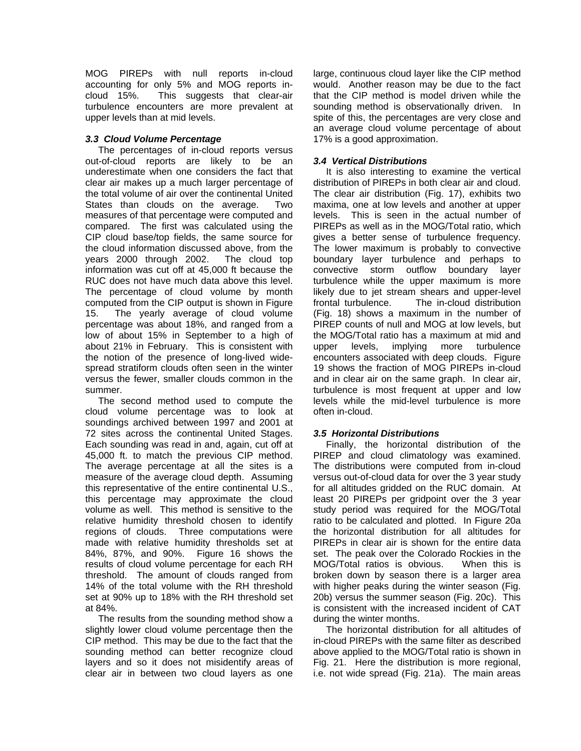MOG PIREPs with null reports in-cloud accounting for only 5% and MOG reports incloud 15%. This suggests that clear-air turbulence encounters are more prevalent at upper levels than at mid levels.

# *3.3 Cloud Volume Percentage*

The percentages of in-cloud reports versus out-of-cloud reports are likely to be an underestimate when one considers the fact that clear air makes up a much larger percentage of the total volume of air over the continental United States than clouds on the average. Two measures of that percentage were computed and compared. The first was calculated using the CIP cloud base/top fields, the same source for the cloud information discussed above, from the years 2000 through 2002. The cloud top information was cut off at 45,000 ft because the RUC does not have much data above this level. The percentage of cloud volume by month computed from the CIP output is shown in Figure 15. The yearly average of cloud volume percentage was about 18%, and ranged from a low of about 15% in September to a high of about 21% in February. This is consistent with the notion of the presence of long-lived widespread stratiform clouds often seen in the winter versus the fewer, smaller clouds common in the summer.

The second method used to compute the cloud volume percentage was to look at soundings archived between 1997 and 2001 at 72 sites across the continental United Stages. Each sounding was read in and, again, cut off at 45,000 ft. to match the previous CIP method. The average percentage at all the sites is a measure of the average cloud depth. Assuming this representative of the entire continental U.S., this percentage may approximate the cloud volume as well. This method is sensitive to the relative humidity threshold chosen to identify regions of clouds. Three computations were made with relative humidity thresholds set at 84%, 87%, and 90%. Figure 16 shows the results of cloud volume percentage for each RH threshold. The amount of clouds ranged from 14% of the total volume with the RH threshold set at 90% up to 18% with the RH threshold set at 84%.

The results from the sounding method show a slightly lower cloud volume percentage then the CIP method. This may be due to the fact that the sounding method can better recognize cloud layers and so it does not misidentify areas of clear air in between two cloud layers as one

large, continuous cloud layer like the CIP method would. Another reason may be due to the fact that the CIP method is model driven while the sounding method is observationally driven. In spite of this, the percentages are very close and an average cloud volume percentage of about 17% is a good approximation.

### *3.4 Vertical Distributions*

It is also interesting to examine the vertical distribution of PIREPs in both clear air and cloud. The clear air distribution (Fig. 17), exhibits two maxima, one at low levels and another at upper levels. This is seen in the actual number of PIREPs as well as in the MOG/Total ratio, which gives a better sense of turbulence frequency. The lower maximum is probably to convective boundary layer turbulence and perhaps to convective storm outflow boundary layer turbulence while the upper maximum is more likely due to jet stream shears and upper-level frontal turbulence. The in-cloud distribution (Fig. 18) shows a maximum in the number of PIREP counts of null and MOG at low levels, but the MOG/Total ratio has a maximum at mid and upper levels, implying more turbulence encounters associated with deep clouds. Figure 19 shows the fraction of MOG PIREPs in-cloud and in clear air on the same graph. In clear air, turbulence is most frequent at upper and low levels while the mid-level turbulence is more often in-cloud.

# *3.5 Horizontal Distributions*

Finally, the horizontal distribution of the PIREP and cloud climatology was examined. The distributions were computed from in-cloud versus out-of-cloud data for over the 3 year study for all altitudes gridded on the RUC domain. At least 20 PIREPs per gridpoint over the 3 year study period was required for the MOG/Total ratio to be calculated and plotted. In Figure 20a the horizontal distribution for all altitudes for PIREPs in clear air is shown for the entire data set. The peak over the Colorado Rockies in the MOG/Total ratios is obvious. When this is broken down by season there is a larger area with higher peaks during the winter season (Fig. 20b) versus the summer season (Fig. 20c). This is consistent with the increased incident of CAT during the winter months.

The horizontal distribution for all altitudes of in-cloud PIREPs with the same filter as described above applied to the MOG/Total ratio is shown in Fig. 21. Here the distribution is more regional, i.e. not wide spread (Fig. 21a). The main areas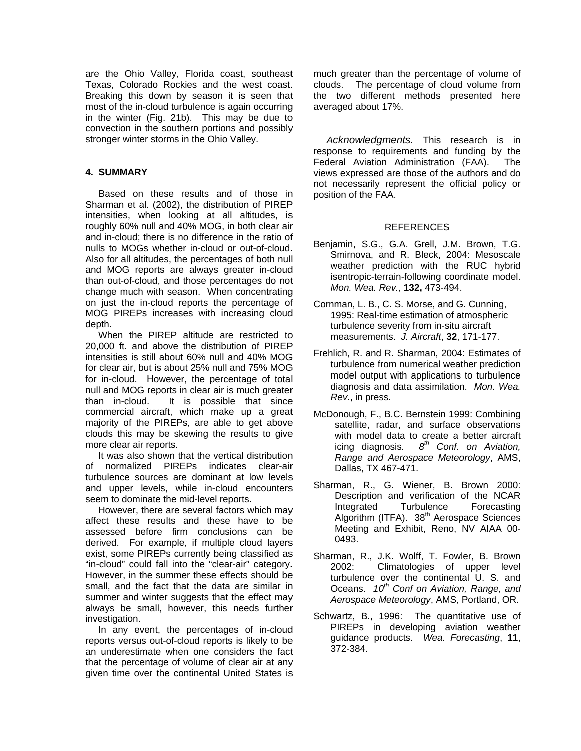are the Ohio Valley, Florida coast, southeast Texas, Colorado Rockies and the west coast. Breaking this down by season it is seen that most of the in-cloud turbulence is again occurring in the winter (Fig. 21b). This may be due to convection in the southern portions and possibly stronger winter storms in the Ohio Valley.

### **4. SUMMARY**

 Based on these results and of those in Sharman et al. (2002), the distribution of PIREP intensities, when looking at all altitudes, is roughly 60% null and 40% MOG, in both clear air and in-cloud; there is no difference in the ratio of nulls to MOGs whether in-cloud or out-of-cloud. Also for all altitudes, the percentages of both null and MOG reports are always greater in-cloud than out-of-cloud, and those percentages do not change much with season. When concentrating on just the in-cloud reports the percentage of MOG PIREPs increases with increasing cloud depth.

When the PIREP altitude are restricted to 20,000 ft. and above the distribution of PIREP intensities is still about 60% null and 40% MOG for clear air, but is about 25% null and 75% MOG for in-cloud. However, the percentage of total null and MOG reports in clear air is much greater than in-cloud. It is possible that since commercial aircraft, which make up a great majority of the PIREPs, are able to get above clouds this may be skewing the results to give more clear air reports.

It was also shown that the vertical distribution of normalized PIREPs indicates clear-air turbulence sources are dominant at low levels and upper levels, while in-cloud encounters seem to dominate the mid-level reports.

However, there are several factors which may affect these results and these have to be assessed before firm conclusions can be derived. For example, if multiple cloud layers exist, some PIREPs currently being classified as "in-cloud" could fall into the "clear-air" category. However, in the summer these effects should be small, and the fact that the data are similar in summer and winter suggests that the effect may always be small, however, this needs further investigation.

In any event, the percentages of in-cloud reports versus out-of-cloud reports is likely to be an underestimate when one considers the fact that the percentage of volume of clear air at any given time over the continental United States is

much greater than the percentage of volume of clouds. The percentage of cloud volume from the two different methods presented here averaged about 17%.

 *Acknowledgments.* This research is in response to requirements and funding by the Federal Aviation Administration (FAA). The views expressed are those of the authors and do not necessarily represent the official policy or position of the FAA.

#### **REFERENCES**

- Benjamin, S.G., G.A. Grell, J.M. Brown, T.G. Smirnova, and R. Bleck, 2004: Mesoscale weather prediction with the RUC hybrid isentropic-terrain-following coordinate model. *Mon. Wea. Rev.*, **132,** 473-494.
- Cornman, L. B., C. S. Morse, and G. Cunning, 1995: Real-time estimation of atmospheric turbulence severity from in-situ aircraft measurements. *J. Aircraft*, **32**, 171-177.
- Frehlich, R. and R. Sharman, 2004: Estimates of turbulence from numerical weather prediction model output with applications to turbulence diagnosis and data assimilation. *Mon. Wea. Rev*., in press.
- McDonough, F., B.C. Bernstein 1999: Combining satellite, radar, and surface observations with model data to create a better aircraft icing diagnosis*. 8th Conf. on Aviation, Range and Aerospace Meteorology*, AMS, Dallas, TX 467-471.
- Sharman, R., G. Wiener, B. Brown 2000: Description and verification of the NCAR Integrated Turbulence Forecasting Algorithm (ITFA). 38<sup>th</sup> Aerospace Sciences Meeting and Exhibit, Reno, NV AIAA 00- 0493.
- Sharman, R., J.K. Wolff, T. Fowler, B. Brown 2002: Climatologies of upper level turbulence over the continental U. S. and Oceans. 10<sup>th</sup> Conf on Aviation, Range, and *Aerospace Meteorology*, AMS, Portland, OR.
- Schwartz, B., 1996: The quantitative use of PIREPs in developing aviation weather guidance products. *Wea. Forecasting*, **11**, 372-384.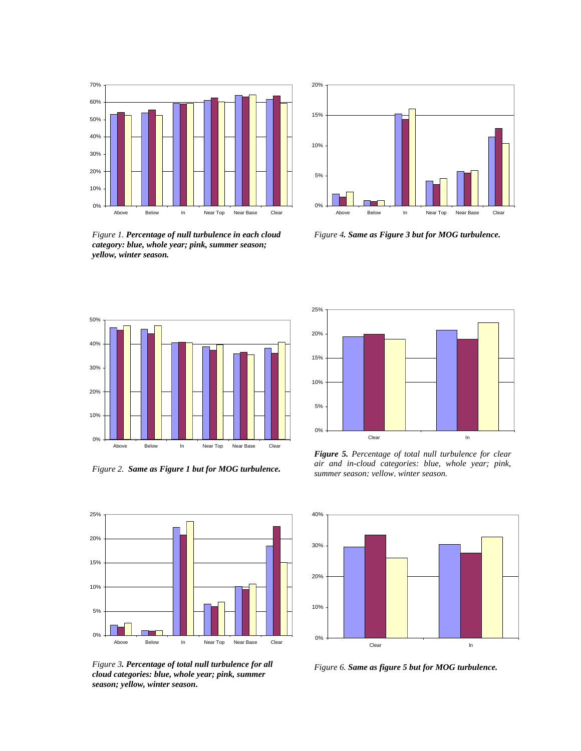

*Figure 1. Percentage of null turbulence in each cloud category: blue, whole year; pink, summer season; yellow, winter season.*



*Figure 4. Same as Figure 3 but for MOG turbulence.*



*Figure 2. Same as Figure 1 but for MOG turbulence.*



*Figure 5. Percentage of total null turbulence for clear air and in-cloud categories: blue, whole year; pink, summer season; yellow, winter season.*



*Figure 3. Percentage of total null turbulence for all cloud categories: blue, whole year; pink, summer season; yellow, winter season***.**

0%

5%

10%

15%

20%

25%



*Figure 6. Same as figure 5 but for MOG turbulence.*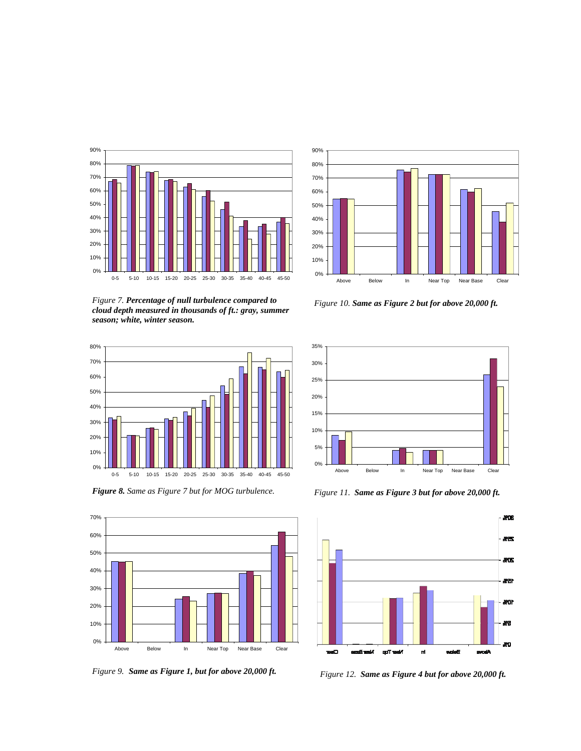

*Figure 7. Percentage of null turbulence compared to cloud depth measured in thousands of ft.: gray, summer season; white, winter season.*



*Figure 8. Same as Figure 7 but for MOG turbulence.* 





*Figure 10. Same as Figure 2 but for above 20,000 ft.*



*Figure 11. Same as Figure 3 but for above 20,000 ft.*



*Figure 9. Same as Figure 1, but for above 20,000 ft. Figure 12. Same as Figure 4 but for above 20,000 ft.*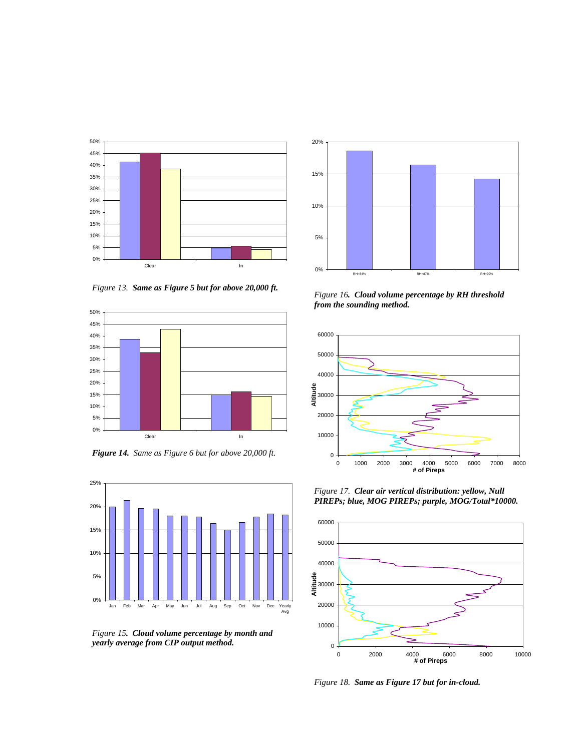

*Figure 13. Same as Figure 5 but for above 20,000 ft.*



*Figure 14. Same as Figure 6 but for above 20,000 ft.* 



*Figure 15. Cloud volume percentage by month and yearly average from CIP output method.*



*Figure 16. Cloud volume percentage by RH threshold from the sounding method.*



*Figure 17. Clear air vertical distribution: yellow, Null PIREPs; blue, MOG PIREPs; purple, MOG/Total\*10000.*



*Figure 18. Same as Figure 17 but for in-cloud.*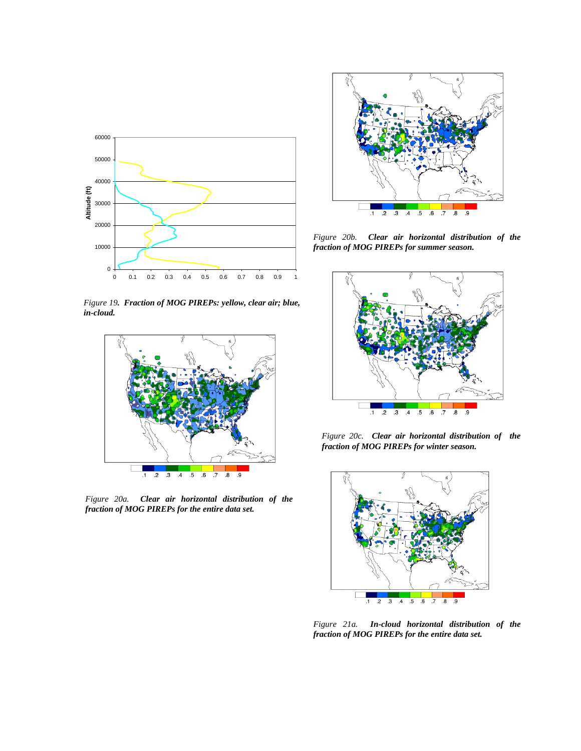

*Figure 19. Fraction of MOG PIREPs: yellow, clear air; blue, in-cloud.*



*Figure 20a. Clear air horizontal distribution of the fraction of MOG PIREPs for the entire data set.*



*Figure 20b. Clear air horizontal distribution of the fraction of MOG PIREPs for summer season.*



*Figure 20c. Clear air horizontal distribution of the fraction of MOG PIREPs for winter season.*



*Figure 21a. In-cloud horizontal distribution of the fraction of MOG PIREPs for the entire data set.*